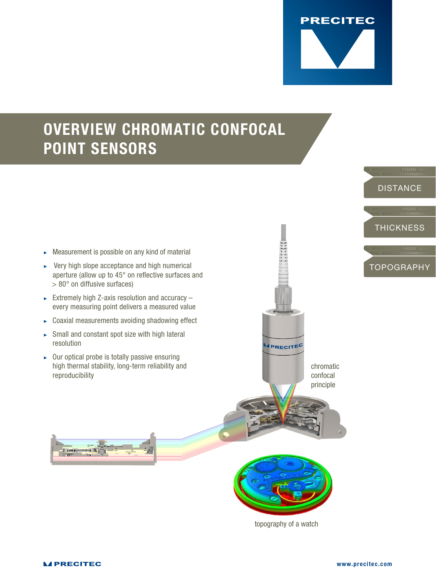

## OVERVIEW CHROMATIC CONFOCAL POINT SENSORS

- $\blacktriangleright$  Measurement is possible on any kind of material
- $\triangleright$  Very high slope acceptance and high numerical aperture (allow up to 45° on reflective surfaces and > 80° on diffusive surfaces)
- $\triangleright$  Extremely high Z-axis resolution and accuracy  $$ every measuring point delivers a measured value
- $\triangleright$  Coaxial measurements avoiding shadowing effect
- $\triangleright$  Small and constant spot size with high lateral resolution
- $\triangleright$  Our optical probe is totally passive ensuring high thermal stability, long-term reliability and reproducibility





**PRECITEC** 

chromatic confocal principle

topography of a watch

<u>Tom and K</u>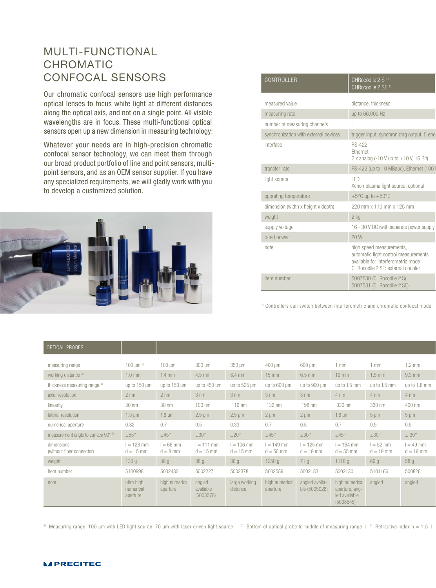## MULTI-FUNCTIONAL CHROMATIC CONFOCAL SENSORS

Our chromatic confocal sensors use high performance optical lenses to focus white light at different distances along the optical axis, and not on a single point. All visible wavelengths are in focus. These multi-functional optical sensors open up a new dimension in measuring technology:

Whatever your needs are in high-precision chromatic confocal sensor technology, we can meet them through our broad product portfolio of line and point sensors, multipoint sensors, and as an OEM sensor supplier. If you have any specialized requirements, we will gladly work with you to develop a customized solution.



| CONTROLLER                            | CHRocodile 2 S <sup>1)</sup><br>CHRocodile 2 SE <sup>1)</sup>                                                                               |  |
|---------------------------------------|---------------------------------------------------------------------------------------------------------------------------------------------|--|
| measured value                        | distance, thickness                                                                                                                         |  |
| measuring rate                        | up to 66,000 Hz                                                                                                                             |  |
| number of measuring channels          |                                                                                                                                             |  |
| synchronization with external devices | trigger input, synchronizing output, 5 enc                                                                                                  |  |
| interface                             | <b>RS-422</b><br>Ethernet<br>2 x analog $(-10 V up to +10 V, 16 Bit)$                                                                       |  |
| transfer rate                         | RS-422 (up to 10 MBaud), Ethernet (100 I                                                                                                    |  |
| light source                          | <b>LED</b><br>Xenon plasma light source, optional                                                                                           |  |
| operating temperature                 | $+5^{\circ}$ C up to $+50^{\circ}$ C                                                                                                        |  |
| dimension (width x height x depth)    | 220 mm x 110 mm x 125 mm                                                                                                                    |  |
| weight                                | 2 <sub>kg</sub>                                                                                                                             |  |
| supply voltage                        | 16 - 30 V DC (with separate power supply                                                                                                    |  |
| rated power                           | 20W                                                                                                                                         |  |
| note                                  | high speed measurements,<br>automatic light control measurements<br>available for interferometric mode<br>CHRocodile 2 SE: external coupler |  |
| item number                           | 5007530 (CHRocodile 2 S)<br>5007531 (CHRocodile 2 SE)                                                                                       |  |

<sup>1)</sup> Controllers can switch between interferometric and chromatic confocal mode

| OPTICAL PROBES                          |                                     |                            |                                  |                             |                             |                                 |                                                                       |                            |                            |
|-----------------------------------------|-------------------------------------|----------------------------|----------------------------------|-----------------------------|-----------------------------|---------------------------------|-----------------------------------------------------------------------|----------------------------|----------------------------|
| measuring range                         | 100 $\mu$ m <sup>2)</sup>           | $100 \mu m$                | $300 \mu m$                      | 350 µm                      | $400 \mu m$                 | $600 \mu m$                     | $1$ mm                                                                | $1$ mm                     | $1.2 \text{ mm}$           |
| working distance 3)                     | $1.0$ mm                            | $1.4$ mm                   | 4.5 mm                           | 8.4 mm                      | 15 mm                       | 6.5 mm                          | $19$ mm                                                               | $1.5$ mm                   | $9.3$ mm                   |
| thickness measuring range 4)            | up to $150 \mu m$                   | up to 150 µm               | up to $450 \mu m$                | up to 525 µm                | up to 600 µm                | up to 900 µm                    | up to 1.5 mm                                                          | up to 1.5 mm               | up to 1.8 mm               |
| axial resolution                        | $2 \text{ nm}$                      | $2 \text{ nm}$             | $3 \text{ nm}$                   | $3 \text{ nm}$              | $3 \text{ nm}$              | $3 \text{ nm}$                  | $4 \text{ nm}$                                                        | $4 \text{ nm}$             | $4 \text{ nm}$             |
| linearity                               | 30 nm                               | 30 nm                      | $100$ nm                         | $116$ nm                    | 132 nm                      | 198 nm                          | 330 nm                                                                | 330 nm                     | 400 nm                     |
| lateral resolution                      | $1.3 \mu m$                         | $1.8 \mu m$                | $2.5 \mu m$                      | $2.5 \mu m$                 | $2 \mu m$                   | $2 \mu m$                       | $1.8 \mu m$                                                           | $5 \mu m$                  | $5 \mu m$                  |
| numerical aperture                      | 0.82                                | 0.7                        | 0.5                              | 0.33                        | 0.7                         | 0.5                             | 0.7                                                                   | 0.5                        | 0.5                        |
| measurement angle to surface 90° b      | $±55^{\circ}$                       | $±45^{\circ}$              | $\pm 30^{\circ}$                 | $\pm 20^{\circ}$            | $\pm 45^{\circ}$            | $\pm 30^{\circ}$                | $±45^{\circ}$                                                         | $\pm 30^{\circ}$           | $\pm 30^{\circ}$           |
| dimensions<br>(without fiber connector) | $l = 128$ mm<br>$d = 15$ mm         | $l = 66$ mm<br>$d = 8$ mm  | $I = 111$ mm<br>$d = 15$ mm      | $l = 106$ mm<br>$d = 15$ mm | $l = 149$ mm<br>$d = 50$ mm | $l = 125$ mm<br>$d = 19$ mm     | $l = 164$ mm<br>$d = 55$ mm                                           | $l = 52$ mm<br>$d = 19$ mm | $l = 49$ mm<br>$d = 19$ mm |
| weight                                  | 130g                                | 36g                        | 38g                              | 36g                         | 1250 g                      | 71q                             | 1118g                                                                 | 69 g                       | 58 <sub>g</sub>            |
| item number                             | 5100998                             | 5002430                    | 5002227                          | 5002378                     | 5002589                     | 5002183                         | 5002130                                                               | 5101166                    | 5008281                    |
| note                                    | ultra high<br>numerical<br>aperture | high numerical<br>aperture | angled<br>available<br>(5003578) | large working<br>distance   | high numerical<br>aperture  | angled availa-<br>ble (5005028) | high numerical angled<br>aperture, ang-<br>led available<br>(5008545) |                            | angled                     |

<sup>2)</sup> Measuring range: 100 µm with LED light source, 70 µm with laser driven light source  $\pm$  <sup>3)</sup> Bottom of optical probe to middle of measuring range  $\pm$  <sup>4)</sup> Refractive index n = 1.5 |

## **MPRECITEC**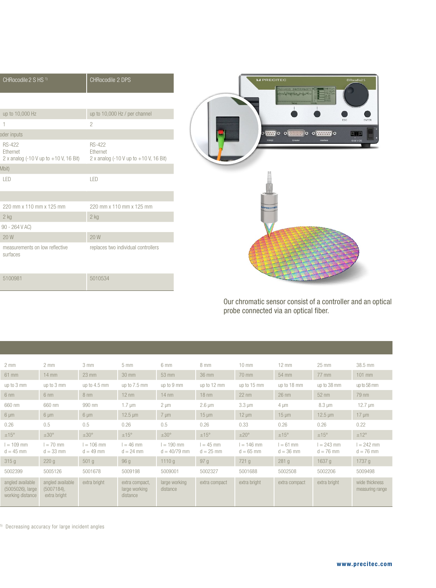| CHRocodile 2 S HS <sup>1)</sup>                                                                | CHRocodile 2 DPS                                                                       |
|------------------------------------------------------------------------------------------------|----------------------------------------------------------------------------------------|
|                                                                                                |                                                                                        |
| up to 10,000 Hz                                                                                | up to 10,000 Hz / per channel                                                          |
| $\overline{1}$                                                                                 | $\overline{c}$                                                                         |
| oder inputs                                                                                    |                                                                                        |
| <b>RS-422</b><br>Ethernet<br>2 x analog $(-10 \text{ V up to } +10 \text{ V}, 16 \text{ Bit})$ | <b>RS-422</b><br>Ethernet<br>2 x analog $(-10 V \text{ up to } +10 V, 16 \text{ Bit})$ |
| Mbit)                                                                                          |                                                                                        |
| LED                                                                                            | LED                                                                                    |
|                                                                                                |                                                                                        |
| 220 mm x 110 mm x 125 mm                                                                       | 220 mm x 110 mm x 125 mm                                                               |
| $2$ kg                                                                                         | $2$ kg                                                                                 |
| 90 - 264 V AC)                                                                                 |                                                                                        |
| 20W                                                                                            | 20 W                                                                                   |
| measurements on low reflective<br>surfaces                                                     | replaces two individual controllers                                                    |
| 5100981                                                                                        | 5010534                                                                                |



Our chromatic sensor consist of a controller and an optical probe connected via an optical fiber.

| $2 \text{ mm}$                                           | $2 \, \text{mm}$                               | 3 mm                        | 5 <sub>mm</sub>                             | 6 mm                           | 8 mm                       | $10 \text{ mm}$             | $12 \text{ mm}$            | 25 mm                       | 38.5 mm                           |
|----------------------------------------------------------|------------------------------------------------|-----------------------------|---------------------------------------------|--------------------------------|----------------------------|-----------------------------|----------------------------|-----------------------------|-----------------------------------|
| 61 mm                                                    | $14 \text{ mm}$                                | $23$ mm                     | $30 \text{ mm}$                             | $53$ mm                        | 36 mm                      | 70 mm                       | 54 mm                      | 77 mm                       | 101 mm                            |
| up to 3 mm                                               | up to 3 mm                                     | up to 4.5 mm                | up to 7.5 mm                                | up to 9 mm                     | up to 12 mm                | up to 15 mm                 | up to 18 mm                | up to 38 mm                 | up to 58 mm                       |
| $6 \text{ nm}$                                           | $6 \text{ nm}$                                 | $8 \text{ nm}$              | $12 \text{ nm}$                             | $14 \text{ nm}$                | $18 \text{ nm}$            | $22$ nm                     | $26$ nm                    | $52$ nm                     | 79 nm                             |
| 660 nm                                                   | 660 nm                                         | 990 nm                      | $1.7 \mu m$                                 | $2 \mu m$                      | $2.6 \mu m$                | $3.3 \mu m$                 | $4 \mu m$                  | $8.3 \mu m$                 | $12.7 \mu m$                      |
| $6 \mu m$                                                | $6 \mu m$                                      | $6 \mu m$                   | $12.5 \mu m$                                | $7 \mu m$                      | $15 \mu m$                 | $12 \mu m$                  | $15 \mu m$                 | $12.5 \,\mathrm{\upmu m}$   | $17 \mu m$                        |
| 0.26                                                     | 0.5                                            | 0.5                         | 0.26                                        | 0.5                            | 0.26                       | 0.33                        | 0.26                       | 0.26                        | 0.22                              |
| $\pm15^{\circ}$                                          | $\pm 30^{\circ}$                               | ±30°                        | $±15^{\circ}$                               | $\pm 30^{\circ}$               | ±15°                       | $±20^{\circ}$               | $±15^{\circ}$              | $±15^{\circ}$               | ±12°                              |
| $l = 109$ mm<br>$d = 45$ mm                              | $l = 70$ mm<br>$d = 33$ mm                     | $l = 106$ mm<br>$d = 49$ mm | $l = 46$ mm<br>$d = 24$ mm                  | $l = 190$ mm<br>$d = 40/79$ mm | $l = 45$ mm<br>$d = 25$ mm | $l = 146$ mm<br>$d = 65$ mm | $l = 61$ mm<br>$d = 36$ mm | $l = 243$ mm<br>$d = 76$ mm | $l = 242$ mm<br>$d = 76$ mm       |
| 315g                                                     | 220 g                                          | 501 g                       | 96 g                                        | 1110g                          | 97 g                       | 721 g                       | 281 g                      | 1637g                       | 1737 g                            |
| 5002399                                                  | 5005126                                        | 5001678                     | 5009198                                     | 5009001                        | 5002327                    | 5001688                     | 5002508                    | 5002206                     | 5009498                           |
| angled available<br>(5005026), large<br>working distance | angled available<br>(5007184),<br>extra bright | extra bright                | extra compact,<br>large working<br>distance | large working<br>distance      | extra compact              | extra bright                | extra compact              | extra bright                | wide thickness<br>measuring range |

 $5)$  Decreasing accuracy for large incident angles